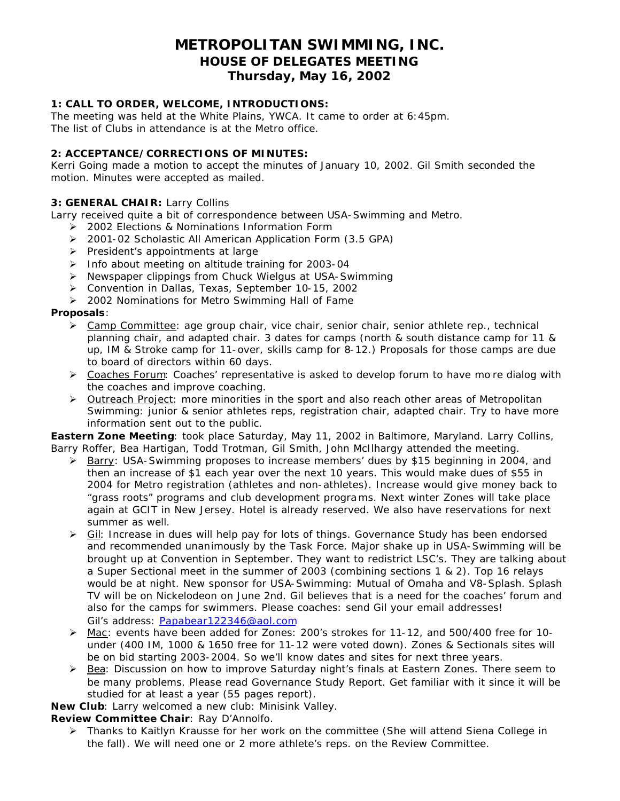# **METROPOLITAN SWIMMING, INC. HOUSE OF DELEGATES MEETING Thursday, May 16, 2002**

## **1: CALL TO ORDER, WELCOME, INTRODUCTIONS:**

The meeting was held at the White Plains, YWCA. It came to order at 6:45pm. The list of Clubs in attendance is at the Metro office.

## **2: ACCEPTANCE/CORRECTIONS OF MINUTES:**

Kerri Going made a motion to accept the minutes of January 10, 2002. Gil Smith seconded the motion. Minutes were accepted as mailed.

#### **3: GENERAL CHAIR:** Larry Collins

Larry received quite a bit of correspondence between USA-Swimming and Metro.

- ÿ 2002 Elections & Nominations Information Form
- ▶ 2001-02 Scholastic All American Application Form (3.5 GPA)
- $\triangleright$  President's appointments at large
- $\triangleright$  Info about meeting on altitude training for 2003-04
- ▶ Newspaper clippings from Chuck Wielgus at USA-Swimming
- ÿ Convention in Dallas, Texas, September 10-15, 2002
- ▶ 2002 Nominations for Metro Swimming Hall of Fame

#### **Proposals**:

- $\triangleright$  Camp Committee: age group chair, vice chair, senior chair, senior athlete rep., technical planning chair, and adapted chair. 3 dates for camps (north & south distance camp for 11 & up, IM & Stroke camp for 11-over, skills camp for 8-12.) Proposals for those camps are due to board of directors within 60 days.
- $\triangleright$  Coaches Forum: Coaches' representative is asked to develop forum to have mo re dialog with the coaches and improve coaching.
- $\triangleright$  Outreach Project: more minorities in the sport and also reach other areas of Metropolitan Swimming: junior & senior athletes reps, registration chair, adapted chair. Try to have more information sent out to the public.

**Eastern Zone Meeting**: took place Saturday, May 11, 2002 in Baltimore, Maryland. Larry Collins, Barry Roffer, Bea Hartigan, Todd Trotman, Gil Smith, John McIlhargy attended the meeting.

- ▶ Barry: USA-Swimming proposes to increase members' dues by \$15 beginning in 2004, and then an increase of \$1 each year over the next 10 years. This would make dues of \$55 in 2004 for Metro registration (athletes and non-athletes). Increase would give money back to "grass roots" programs and club development programs. Next winter Zones will take place again at GCIT in New Jersey. Hotel is already reserved. We also have reservations for next summer as well.
- > Gil: Increase in dues will help pay for lots of things. Governance Study has been endorsed and recommended unanimously by the Task Force. Major shake up in USA-Swimming will be brought up at Convention in September. They want to redistrict LSC's. They are talking about a Super Sectional meet in the summer of 2003 (combining sections 1 & 2). Top 16 relays would be at night. New sponsor for USA-Swimming: Mutual of Omaha and V8-Splash. Splash TV will be on Nickelodeon on June 2nd. Gil believes that is a need for the coaches' forum and also for the camps for swimmers. Please coaches: send Gil your email addresses! Gil's address: Papabear122346@aol.com
- $\triangleright$  Mac: events have been added for Zones: 200's strokes for 11-12, and 500/400 free for 10under (400 IM, 1000 & 1650 free for 11-12 were voted down). Zones & Sectionals sites will be on bid starting 2003-2004. So we'll know dates and sites for next three years.
- $\triangleright$  Bea: Discussion on how to improve Saturday night's finals at Eastern Zones. There seem to be many problems. Please read Governance Study Report. Get familiar with it since it will be studied for at least a year (55 pages report).

**New Club**: Larry welcomed a new club: Minisink Valley.

**Review Committee Chair**: Ray D'Annolfo.

ÿ Thanks to Kaitlyn Krausse for her work on the committee (She will attend Siena College in the fall). We will need one or 2 more athlete's reps. on the Review Committee.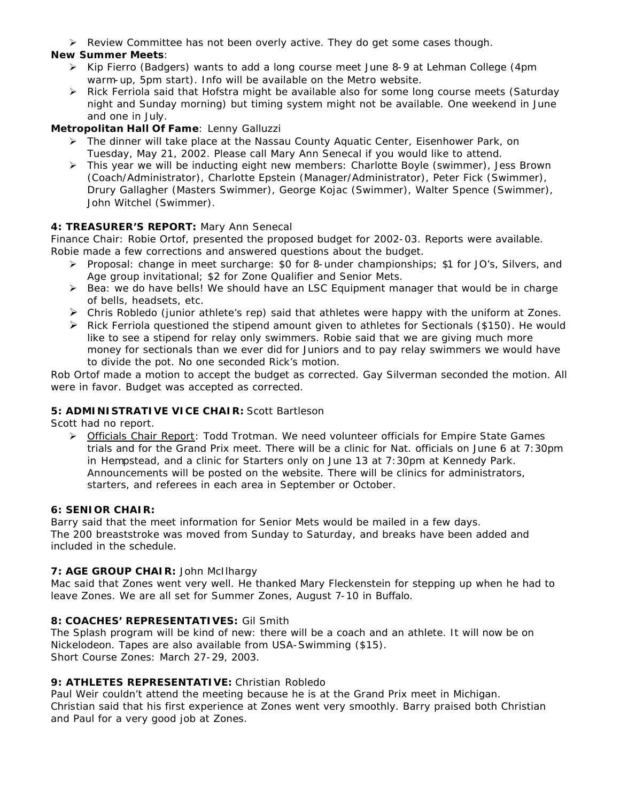$\triangleright$  Review Committee has not been overly active. They do get some cases though.

## **New Summer Meets**:

- ÿ Kip Fierro (Badgers) wants to add a long course meet June 8-9 at Lehman College (4pm warm-up, 5pm start). Info will be available on the Metro website.
- $\triangleright$  Rick Ferriola said that Hofstra might be available also for some long course meets (Saturday night and Sunday morning) but timing system might not be available. One weekend in June and one in July.

## **Metropolitan Hall Of Fame**: Lenny Galluzzi

- $\triangleright$  The dinner will take place at the Nassau County Aquatic Center, Eisenhower Park, on Tuesday, May 21, 2002. Please call Mary Ann Senecal if you would like to attend.
- $\triangleright$  This year we will be inducting eight new members: Charlotte Boyle (swimmer), Jess Brown (Coach/Administrator), Charlotte Epstein (Manager/Administrator), Peter Fick (Swimmer), Drury Gallagher (Masters Swimmer), George Kojac (Swimmer), Walter Spence (Swimmer), John Witchel (Swimmer).

## **4: TREASURER'S REPORT:** Mary Ann Senecal

Finance Chair: Robie Ortof, presented the proposed budget for 2002-03. Reports were available. Robie made a few corrections and answered questions about the budget.

- ÿ Proposal: change in meet surcharge: \$0 for 8-under championships; \$1 for JO's, Silvers, and Age group invitational; \$2 for Zone Qualifier and Senior Mets.
- $\triangleright$  Bea: we do have bells! We should have an LSC Equipment manager that would be in charge of bells, headsets, etc.
- $\triangleright$  Chris Robledo (junior athlete's rep) said that athletes were happy with the uniform at Zones.
- $\triangleright$  Rick Ferriola questioned the stipend amount given to athletes for Sectionals (\$150). He would like to see a stipend for relay only swimmers. Robie said that we are giving much more money for sectionals than we ever did for Juniors and to pay relay swimmers we would have to divide the pot. No one seconded Rick's motion.

Rob Ortof made a motion to accept the budget as corrected. Gay Silverman seconded the motion. All were in favor. Budget was accepted as corrected.

## **5: ADMINISTRATIVE VICE CHAIR:** Scott Bartleson

Scott had no report.

 $\triangleright$  Officials Chair Report: Todd Trotman. We need volunteer officials for Empire State Games trials and for the Grand Prix meet. There will be a clinic for Nat. officials on June 6 at 7:30pm in Hempstead, and a clinic for Starters only on June 13 at 7:30pm at Kennedy Park. Announcements will be posted on the website. There will be clinics for administrators, starters, and referees in each area in September or October.

## **6: SENIOR CHAIR:**

Barry said that the meet information for Senior Mets would be mailed in a few days. The 200 breaststroke was moved from Sunday to Saturday, and breaks have been added and included in the schedule.

## **7: AGE GROUP CHAIR:** John McIlhargy

Mac said that Zones went very well. He thanked Mary Fleckenstein for stepping up when he had to leave Zones. We are all set for Summer Zones, August 7-10 in Buffalo.

## **8: COACHES' REPRESENTATIVES:** Gil Smith

The Splash program will be kind of new: there will be a coach and an athlete. It will now be on Nickelodeon. Tapes are also available from USA-Swimming (\$15). Short Course Zones: March 27-29, 2003.

## **9: ATHLETES REPRESENTATIVE:** Christian Robledo

Paul Weir couldn't attend the meeting because he is at the Grand Prix meet in Michigan. Christian said that his first experience at Zones went very smoothly. Barry praised both Christian and Paul for a very good job at Zones.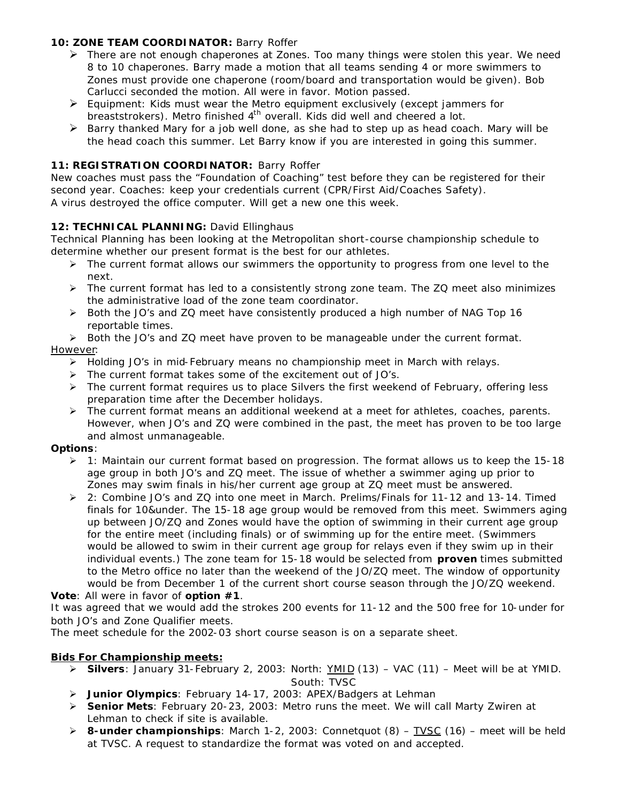## **10: ZONE TEAM COORDINATOR:** Barry Roffer

- $\triangleright$  There are not enough chaperones at Zones. Too many things were stolen this year. We need 8 to 10 chaperones. Barry made a motion that all teams sending 4 or more swimmers to Zones must provide one chaperone (room/board and transportation would be given). Bob Carlucci seconded the motion. All were in favor. Motion passed.
- $\triangleright$  Equipment: Kids must wear the Metro equipment exclusively (except jammers for breaststrokers). Metro finished  $4<sup>th</sup>$  overall. Kids did well and cheered a lot.
- $\triangleright$  Barry thanked Mary for a job well done, as she had to step up as head coach. Mary will be the head coach this summer. Let Barry know if you are interested in going this summer.

## **11: REGISTRATION COORDINATOR:** Barry Roffer

New coaches must pass the "Foundation of Coaching" test before they can be registered for their second year. Coaches: keep your credentials current (CPR/First Aid/Coaches Safety). A virus destroyed the office computer. Will get a new one this week.

## 12: TECHNICAL PLANNING: David Ellinghaus

Technical Planning has been looking at the Metropolitan short-course championship schedule to determine whether our present format is the best for our athletes.

- $\triangleright$  The current format allows our swimmers the opportunity to progress from one level to the next.
- $\triangleright$  The current format has led to a consistently strong zone team. The ZQ meet also minimizes the administrative load of the zone team coordinator.
- $\triangleright$  Both the JO's and ZQ meet have consistently produced a high number of NAG Top 16 reportable times.
- $\triangleright$  Both the JO's and ZQ meet have proven to be manageable under the current format.

## However:

- $\triangleright$  Holding JO's in mid-February means no championship meet in March with relays.
- $\triangleright$  The current format takes some of the excitement out of JO's.
- $\triangleright$  The current format requires us to place Silvers the first weekend of February, offering less preparation time after the December holidays.
- $\triangleright$  The current format means an additional weekend at a meet for athletes, coaches, parents. However, when JO's and ZQ were combined in the past, the meet has proven to be too large and almost unmanageable.

## **Options**:

- $\triangleright$  1: Maintain our current format based on progression. The format allows us to keep the 15-18 age group in both JO's and ZQ meet. The issue of whether a swimmer aging up prior to Zones may swim finals in his/her current age group at ZQ meet must be answered.
- $\geq$  2: Combine JO's and ZQ into one meet in March. Prelims/Finals for 11-12 and 13-14. Timed finals for 10&under. The 15-18 age group would be removed from this meet. Swimmers aging up between JO/ZQ and Zones would have the option of swimming in their current age group for the entire meet (including finals) or of swimming up for the entire meet. (Swimmers would be allowed to swim in their current age group for relays even if they swim up in their individual events.) The zone team for 15-18 would be selected from *proven* times submitted to the Metro office no later than the weekend of the JO/ZQ meet. The window of opportunity would be from December 1 of the current short course season through the JO/ZQ weekend.

**Vote**: All were in favor of **option #1**.

It was agreed that we would add the strokes 200 events for 11-12 and the 500 free for 10-under for both JO's and Zone Qualifier meets.

The meet schedule for the 2002-03 short course season is on a separate sheet.

## *Bids For Championship meets:*

- ÿ **Silvers**: January 31-February 2, 2003: North: YMID (13) VAC (11) Meet will be at YMID. South: TVSC
- ÿ **Junior Olympics**: February 14-17, 2003: APEX/Badgers at Lehman
- ÿ **Senior Mets**: February 20-23, 2003: Metro runs the meet. We will call Marty Zwiren at Lehman to check if site is available.
- ÿ **8-under championships**: March 1-2, 2003: Connetquot (8) TVSC (16) meet will be held at TVSC. A request to standardize the format was voted on and accepted.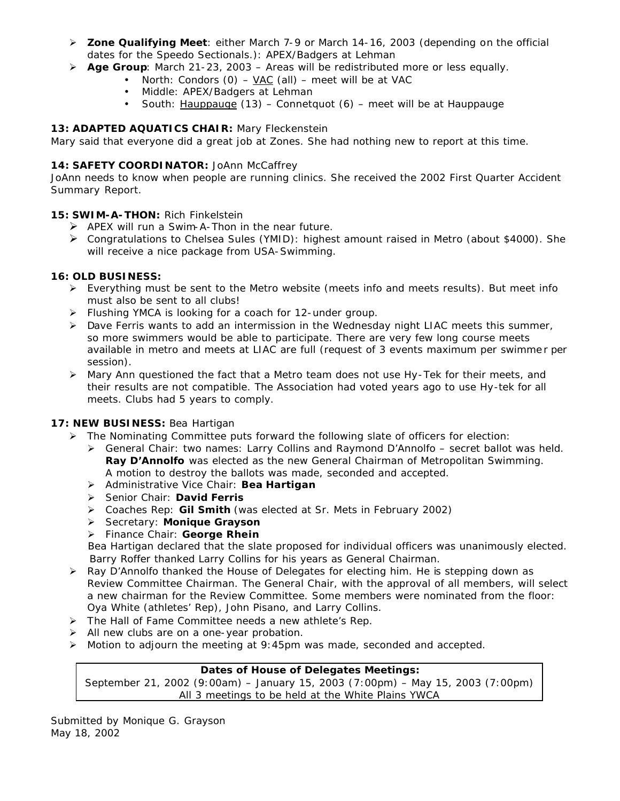- ÿ **Zone Qualifying Meet**: either March 7-9 or March 14-16, 2003 (depending on the official dates for the Speedo Sectionals.): APEX/Badgers at Lehman
- ÿ **Age Group**: March 21-23, 2003 Areas will be redistributed more or less equally.
	- North: Condors (0) VAC (all) meet will be at VAC
	- Middle: APEX/Badgers at Lehman
	- South: Hauppauge (13) Connetquot (6) meet will be at Hauppauge

## **13: ADAPTED AQUATICS CHAIR:** Mary Fleckenstein

Mary said that everyone did a great job at Zones. She had nothing new to report at this time.

## 14: **SAFETY COORDINATOR:** JoAnn McCaffrey

JoAnn needs to know when people are running clinics. She received the 2002 First Quarter Accident Summary Report.

## **15: SWIM-A-THON:** Rich Finkelstein

- $\triangleright$  APEX will run a Swim-A-Thon in the near future.
- ÿ Congratulations to Chelsea Sules (YMID): highest amount raised in Metro (about \$4000). She will receive a nice package from USA-Swimming.

## **16: OLD BUSINESS:**

- $\triangleright$  Everything must be sent to the Metro website (meets info and meets results). But meet info must also be sent to all clubs!
- $\triangleright$  Flushing YMCA is looking for a coach for 12-under group.
- $\triangleright$  Dave Ferris wants to add an intermission in the Wednesday night LIAC meets this summer, so more swimmers would be able to participate. There are very few long course meets available in metro and meets at LIAC are full (request of 3 events maximum per swimme r per session).
- $\triangleright$  Mary Ann questioned the fact that a Metro team does not use Hy-Tek for their meets, and their results are not compatible. The Association had voted years ago to use Hy-tek for all meets. Clubs had 5 years to comply.

## **17: NEW BUSINESS:** Bea Hartigan

- $\triangleright$  The Nominating Committee puts forward the following slate of officers for election:
	- $\triangleright$  General Chair: two names: Larry Collins and Raymond D'Annolfo secret ballot was held. **Ray D'Annolfo** was elected as the new General Chairman of Metropolitan Swimming. A motion to destroy the ballots was made, seconded and accepted.
	- ÿ Administrative Vice Chair: **Bea Hartigan**
	- ÿ Senior Chair: **David Ferris**
	- ÿ Coaches Rep: **Gil Smith** (was elected at Sr. Mets in February 2002)
	- ÿ Secretary: **Monique Grayson**
	- ÿ Finance Chair: **George Rhein**

 Bea Hartigan declared that the slate proposed for individual officers was unanimously elected. Barry Roffer thanked Larry Collins for his years as General Chairman.

- $\triangleright$  Ray D'Annolfo thanked the House of Delegates for electing him. He is stepping down as Review Committee Chairman. The General Chair, with the approval of all members, will select a new chairman for the Review Committee. Some members were nominated from the floor: Oya White (athletes' Rep), John Pisano, and Larry Collins.
- $\triangleright$  The Hall of Fame Committee needs a new athlete's Rep.
- $\triangleright$  All new clubs are on a one-year probation.
- $\triangleright$  Motion to adjourn the meeting at 9:45pm was made, seconded and accepted.

## **Dates of House of Delegates Meetings:**

September 21, 2002 (9:00am) – January 15, 2003 (7:00pm) – May 15, 2003 (7:00pm) All 3 meetings to be held at the White Plains YWCA

Submitted by Monique G. Grayson May 18, 2002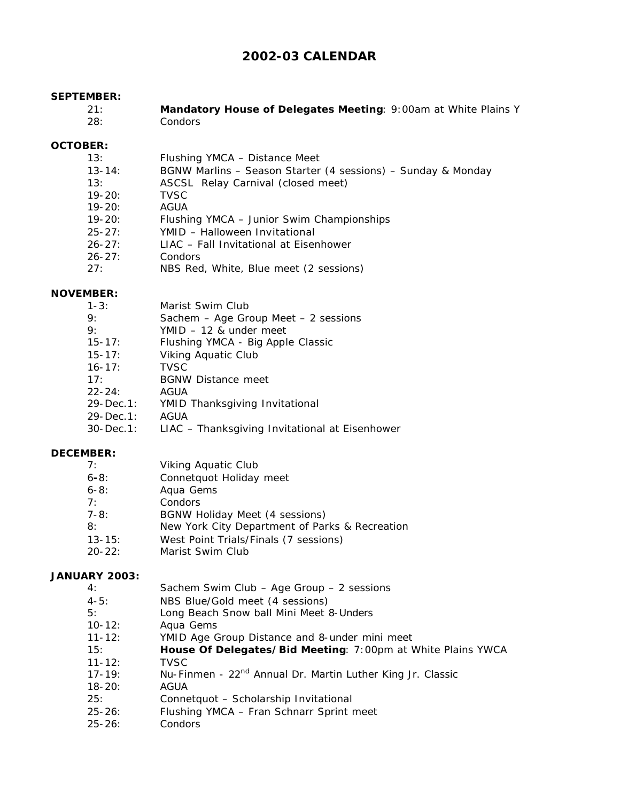# **2002-03 CALENDAR**

#### **SEPTEMBER:**

| 21: | Mandatory House of Delegates Meeting: 9:00am at White Plains Y |  |  |
|-----|----------------------------------------------------------------|--|--|
| 28: | <b>Condors</b>                                                 |  |  |

#### **OCTOBER:**

- 13: Flushing YMCA Distance Meet
- 13-14: BGNW Marlins Season Starter (4 sessions) Sunday & Monday
- 13: ASCSL Relay Carnival (closed meet)
- 19-20: TVSC
- 19-20: AGUA
- 19-20: Flushing YMCA Junior Swim Championships
- 25-27: YMID Halloween Invitational
- 26-27: LIAC Fall Invitational at Eisenhower
- 26-27: Condors
- 27: NBS Red, White, Blue meet (2 sessions)

#### **NOVEMBER:**

| $1 - 3:$       | Marist Swim Club                         |
|----------------|------------------------------------------|
| Q <sub>1</sub> | Sachem $-$ Age Group Meet $-$ 2 sessions |
| 9:             | $YMID - 12$ & under meet                 |
| $15 - 17$ :    | Flushing YMCA - Big Apple Classic        |
| $15 - 17$ :    | Viking Aquatic Club                      |
| $16 - 17$ :    | <b>TVSC</b>                              |
| 17:            | <b>BGNW Distance meet</b>                |
| $22 - 24:$     | AGUA                                     |
| 29-Dec.1:      | YMID Thanksgiving Invitational           |
| 22.7.7         | $\sim$                                   |

- 29-Dec.1: AGUA
- 30-Dec.1: LIAC Thanksgiving Invitational at Eisenhower

## **DECEMBER:**

| 7: | Viking Aquatic Club |  |
|----|---------------------|--|
|    |                     |  |

- 6**-**8: Connetquot Holiday meet
- 6-8: Aqua Gems
- 7: Condors
- 7-8: BGNW Holiday Meet (4 sessions)
- 8: New York City Department of Parks & Recreation
- 13-15: West Point Trials/Finals (7 sessions)
- 20-22: Marist Swim Club

#### **JANUARY 2003:**

- 4: Sachem Swim Club Age Group 2 sessions
- 4-5: NBS Blue/Gold meet (4 sessions)
- 5: Long Beach Snow ball Mini Meet 8-Unders
- 10-12: Aqua Gems
- 11-12: YMID Age Group Distance and 8-under mini meet
- 15: **House Of Delegates/Bid Meeting**: 7:00pm at White Plains YWCA 11-12: TVSC
- 17-19: Nu-Finmen 22<sup>nd</sup> Annual Dr. Martin Luther King Jr. Classic
- 18-20: AGUA
- 25: Connetquot Scholarship Invitational
- 25-26: Flushing YMCA Fran Schnarr Sprint meet
- 25-26: Condors